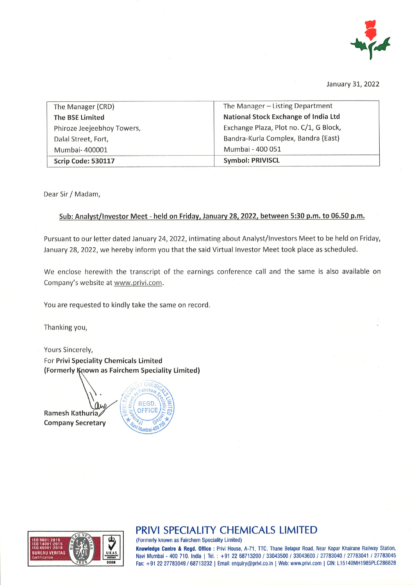

January 31, 2022

| The Manager (CRD)          | The Manager - Listing Department       |
|----------------------------|----------------------------------------|
| <b>The BSE Limited</b>     | National Stock Exchange of India Ltd   |
| Phiroze Jeejeebhoy Towers, | Exchange Plaza, Plot no. C/1, G Block, |
| Dalal Street, Fort,        | Bandra-Kurla Complex, Bandra (East)    |
| Mumbai-400001              | Mumbai - 400 051                       |
| Scrip Code: 530117         | <b>Symbol: PRIVISCL</b>                |

Dear Sir / Madam,

## Sub: Analvst/lnvestor Meet - held on Fridav, Januarv 28. 2022. between 5;30 p.m. to 05.50 p.m,

Pursuant to our letter dated January 24,2022, intimating about Analyst/lnvestors Meet to be held on Friday, January 28, 2022, we hereby inform you that the said Virtual Investor Meet took place as scheduled.

We enclose herewith the transcript of the earnings conference call and the same is also available on Company's website at www.privi.com.

You are requested to kindly take the same on record

Thanking you,

Yours Sincerely, For Privi Speciality Chemicals Limited (Formerly Known as Fairchem Speciality Limited)

**Ramesh Kathuria** Company Secretary





# PRIVI SPECIALITY CHEMICALS LIMITED

(Formerly known as Fairchem Speciality Limited)

Knowledge Centre & Regd. Office: Privi House, A-71, TTC, Thane Belapur Road, Near Kopar Khairane Railway Station, Navi Mumbai - 400 710. India | Tel.: +91 22 68713200 / 33043500 / 33043600 / 27783040 / 27783041 / 27783045 Fax: +91 22 27783049 / 68713232 | Email: enquiry@privi.co.in | Web: www.privi.com | CIN: L15140MH1985PLC286828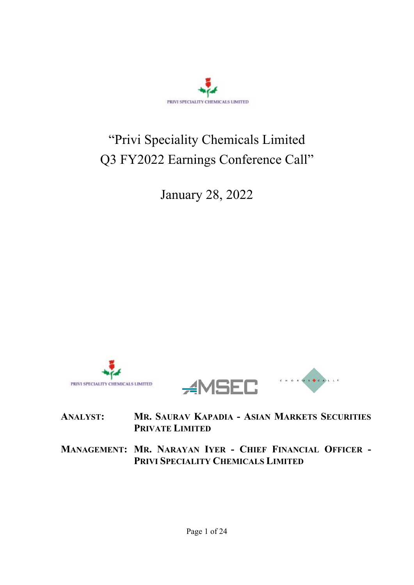

# "Privi Speciality Chemicals Limited Q3 FY2022 Earnings Conference Call"

January 28, 2022





# **ANALYST: MR. SAURAV KAPADIA - ASIAN MARKETS SECURITIES PRIVATE LIMITED**

**MANAGEMENT: MR. NARAYAN IYER - CHIEF FINANCIAL OFFICER - PRIVI SPECIALITY CHEMICALS LIMITED**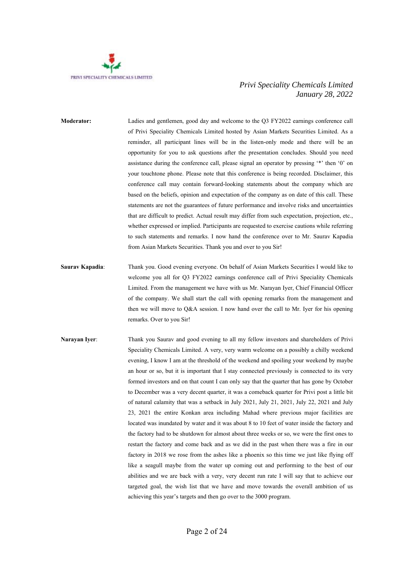

- **Moderator:** Ladies and gentlemen, good day and welcome to the Q3 FY2022 earnings conference call of Privi Speciality Chemicals Limited hosted by Asian Markets Securities Limited. As a reminder, all participant lines will be in the listen-only mode and there will be an opportunity for you to ask questions after the presentation concludes. Should you need assistance during the conference call, please signal an operator by pressing '\*' then '0' on your touchtone phone. Please note that this conference is being recorded. Disclaimer, this conference call may contain forward-looking statements about the company which are based on the beliefs, opinion and expectation of the company as on date of this call. These statements are not the guarantees of future performance and involve risks and uncertainties that are difficult to predict. Actual result may differ from such expectation, projection, etc., whether expressed or implied. Participants are requested to exercise cautions while referring to such statements and remarks. I now hand the conference over to Mr. Saurav Kapadia from Asian Markets Securities. Thank you and over to you Sir!
- **Saurav Kapadia**: Thank you. Good evening everyone. On behalf of Asian Markets Securities I would like to welcome you all for Q3 FY2022 earnings conference call of Privi Speciality Chemicals Limited. From the management we have with us Mr. Narayan Iyer, Chief Financial Officer of the company. We shall start the call with opening remarks from the management and then we will move to Q&A session. I now hand over the call to Mr. Iyer for his opening remarks. Over to you Sir!
- **Narayan Iyer**: Thank you Saurav and good evening to all my fellow investors and shareholders of Privi Speciality Chemicals Limited. A very, very warm welcome on a possibly a chilly weekend evening, I know I am at the threshold of the weekend and spoiling your weekend by maybe an hour or so, but it is important that I stay connected previously is connected to its very formed investors and on that count I can only say that the quarter that has gone by October to December was a very decent quarter, it was a comeback quarter for Privi post a little bit of natural calamity that was a setback in July 2021, July 21, 2021, July 22, 2021 and July 23, 2021 the entire Konkan area including Mahad where previous major facilities are located was inundated by water and it was about 8 to 10 feet of water inside the factory and the factory had to be shutdown for almost about three weeks or so, we were the first ones to restart the factory and come back and as we did in the past when there was a fire in our factory in 2018 we rose from the ashes like a phoenix so this time we just like flying off like a seagull maybe from the water up coming out and performing to the best of our abilities and we are back with a very, very decent run rate I will say that to achieve our targeted goal, the wish list that we have and move towards the overall ambition of us achieving this year's targets and then go over to the 3000 program.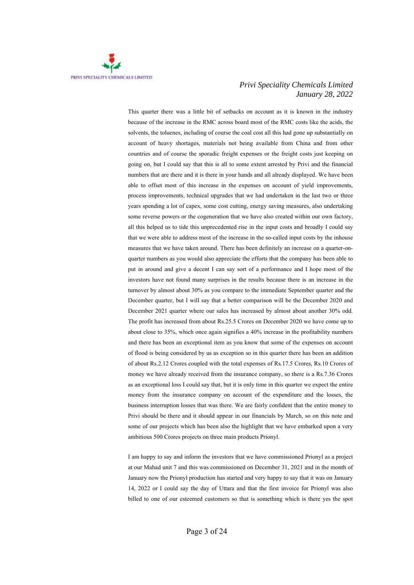

This quarter there was a little bit of setbacks on account as it is known in the industry because of the increase in the RMC across board most of the RMC costs like the acids, the solvents, the toluenes, including of course the coal cost all this had gone up substantially on account of heavy shortages, materials not being available from China and from other countries and of course the sporadic freight expenses or the freight costs just keeping on going on, but I could say that this is all to some extent arrested by Privi and the financial numbers that are there and it is there in your hands and all already displayed. We have been able to offset most of this increase in the expenses on account of yield improvements, process improvements, technical upgrades that we had undertaken in the last two or three years spending a lot of capex, some cost cutting, energy saving measures, also undertaking some reverse powers or the cogeneration that we have also created within our own factory, all this helped us to tide this unprecedented rise in the input costs and broadly I could say that we were able to address most of the increase in the so-called input costs by the inhouse measures that we have taken around. There has been definitely an increase on a quarter-onquarter numbers as you would also appreciate the efforts that the company has been able to put in around and give a decent I can say sort of a performance and I hope most of the investors have not found many surprises in the results because there is an increase in the turnover by almost about 30% as you compare to the immediate September quarter and the December quarter, but I will say that a better comparison will be the December 2020 and December 2021 quarter where our sales has increased by almost about another 30% odd. The profit has increased from about Rs.25.5 Crores on December 2020 we have come up to about close to 35%, which once again signifies a 40% increase in the profitability numbers and there has been an exceptional item as you know that some of the expenses on account of flood is being considered by us as exception so in this quarter there has been an addition of about Rs.2.12 Crores coupled with the total expenses of Rs.17.5 Crores, Rs.10 Crores of money we have already received from the insurance company, so there is a Rs.7.36 Crores as an exceptional loss I could say that, but it is only time in this quarter we expect the entire money from the insurance company on account of the expenditure and the losses, the business interruption losses that was there. We are fairly confident that the entire money to Privi should be there and it should appear in our financials by March, so on this note and some of our projects which has been also the highlight that we have embarked upon a very ambitious 500 Crores projects on three main products Prionyl.

 I am happy to say and inform the investors that we have commissioned Prionyl as a project at our Mahad unit 7 and this was commissioned on December 31, 2021 and in the month of January now the Prionyl production has started and very happy to say that it was on January 14, 2022 or I could say the day of Uttara and that the first invoice for Prionyl was also billed to one of our esteemed customers so that is something which is there yes the spot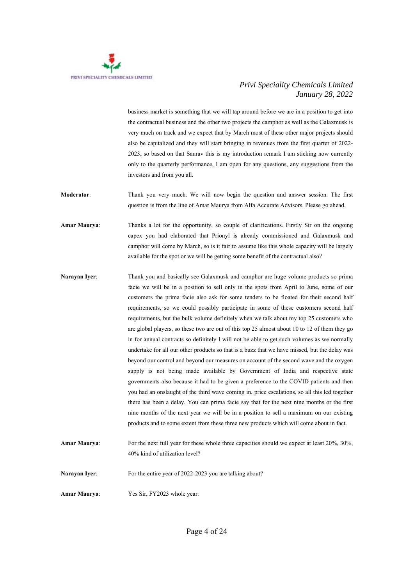

business market is something that we will tap around before we are in a position to get into the contractual business and the other two projects the camphor as well as the Galaxmusk is very much on track and we expect that by March most of these other major projects should also be capitalized and they will start bringing in revenues from the first quarter of 2022- 2023, so based on that Saurav this is my introduction remark I am sticking now currently only to the quarterly performance, I am open for any questions, any suggestions from the investors and from you all.

**Moderator**: Thank you very much. We will now begin the question and answer session. The first question is from the line of Amar Maurya from Alfa Accurate Advisors. Please go ahead.

**Amar Maurya**: Thanks a lot for the opportunity, so couple of clarifications. Firstly Sir on the ongoing capex you had elaborated that Prionyl is already commissioned and Galaxmusk and camphor will come by March, so is it fair to assume like this whole capacity will be largely available for the spot or we will be getting some benefit of the contractual also?

- **Narayan Iyer**: Thank you and basically see Galaxmusk and camphor are huge volume products so prima facie we will be in a position to sell only in the spots from April to June, some of our customers the prima facie also ask for some tenders to be floated for their second half requirements, so we could possibly participate in some of these customers second half requirements, but the bulk volume definitely when we talk about my top 25 customers who are global players, so these two are out of this top 25 almost about 10 to 12 of them they go in for annual contracts so definitely I will not be able to get such volumes as we normally undertake for all our other products so that is a buzz that we have missed, but the delay was beyond our control and beyond our measures on account of the second wave and the oxygen supply is not being made available by Government of India and respective state governments also because it had to be given a preference to the COVID patients and then you had an onslaught of the third wave coming in, price escalations, so all this led together there has been a delay. You can prima facie say that for the next nine months or the first nine months of the next year we will be in a position to sell a maximum on our existing products and to some extent from these three new products which will come about in fact.
- **Amar Maurya**: For the next full year for these whole three capacities should we expect at least 20%, 30%, 40% kind of utilization level? **Narayan Iyer:** For the entire year of 2022-2023 you are talking about? **Amar Maurya**: Yes Sir, FY2023 whole year.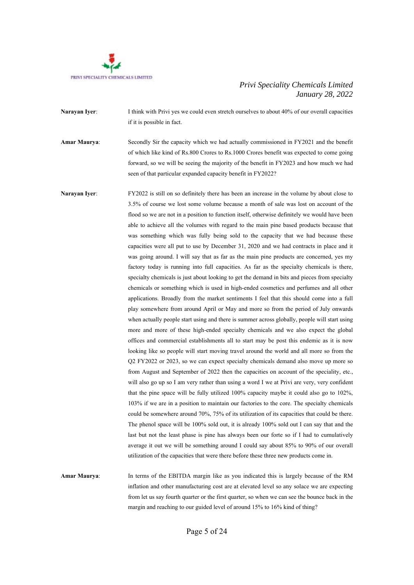

**Narayan Iver:** I think with Privi yes we could even stretch ourselves to about 40% of our overall capacities if it is possible in fact.

**Amar Maurya**: Secondly Sir the capacity which we had actually commissioned in FY2021 and the benefit of which like kind of Rs.800 Crores to Rs.1000 Crores benefit was expected to come going forward, so we will be seeing the majority of the benefit in FY2023 and how much we had seen of that particular expanded capacity benefit in FY2022?

**Narayan Iyer**: FY2022 is still on so definitely there has been an increase in the volume by about close to 3.5% of course we lost some volume because a month of sale was lost on account of the flood so we are not in a position to function itself, otherwise definitely we would have been able to achieve all the volumes with regard to the main pine based products because that was something which was fully being sold to the capacity that we had because these capacities were all put to use by December 31, 2020 and we had contracts in place and it was going around. I will say that as far as the main pine products are concerned, yes my factory today is running into full capacities. As far as the specialty chemicals is there, specialty chemicals is just about looking to get the demand in bits and pieces from specialty chemicals or something which is used in high-ended cosmetics and perfumes and all other applications. Broadly from the market sentiments I feel that this should come into a full play somewhere from around April or May and more so from the period of July onwards when actually people start using and there is summer across globally, people will start using more and more of these high-ended specialty chemicals and we also expect the global offices and commercial establishments all to start may be post this endemic as it is now looking like so people will start moving travel around the world and all more so from the Q2 FY2022 or 2023, so we can expect specialty chemicals demand also move up more so from August and September of 2022 then the capacities on account of the speciality, etc., will also go up so I am very rather than using a word I we at Privi are very, very confident that the pine space will be fully utilized 100% capacity maybe it could also go to 102%, 103% if we are in a position to maintain our factories to the core. The specialty chemicals could be somewhere around 70%, 75% of its utilization of its capacities that could be there. The phenol space will be 100% sold out, it is already 100% sold out I can say that and the last but not the least phase is pine has always been our forte so if I had to cumulatively average it out we will be something around I could say about 85% to 90% of our overall utilization of the capacities that were there before these three new products come in.

**Amar Maurya**: In terms of the EBITDA margin like as you indicated this is largely because of the RM inflation and other manufacturing cost are at elevated level so any solace we are expecting from let us say fourth quarter or the first quarter, so when we can see the bounce back in the margin and reaching to our guided level of around 15% to 16% kind of thing?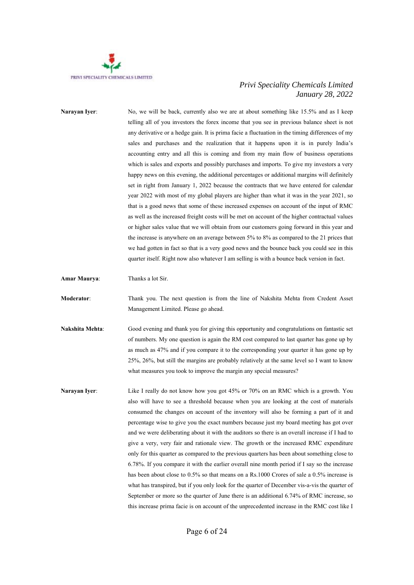

**Narayan Iyer:** No, we will be back, currently also we are at about something like 15.5% and as I keep telling all of you investors the forex income that you see in previous balance sheet is not any derivative or a hedge gain. It is prima facie a fluctuation in the timing differences of my sales and purchases and the realization that it happens upon it is in purely India's accounting entry and all this is coming and from my main flow of business operations which is sales and exports and possibly purchases and imports. To give my investors a very happy news on this evening, the additional percentages or additional margins will definitely set in right from January 1, 2022 because the contracts that we have entered for calendar year 2022 with most of my global players are higher than what it was in the year 2021, so that is a good news that some of these increased expenses on account of the input of RMC as well as the increased freight costs will be met on account of the higher contractual values or higher sales value that we will obtain from our customers going forward in this year and the increase is anywhere on an average between 5% to 8% as compared to the 21 prices that we had gotten in fact so that is a very good news and the bounce back you could see in this quarter itself. Right now also whatever I am selling is with a bounce back version in fact.

**Amar Maurya**: Thanks a lot Sir.

**Moderator**: Thank you. The next question is from the line of Nakshita Mehta from Credent Asset Management Limited. Please go ahead.

**Nakshita Mehta**: Good evening and thank you for giving this opportunity and congratulations on fantastic set of numbers. My one question is again the RM cost compared to last quarter has gone up by as much as 47% and if you compare it to the corresponding your quarter it has gone up by 25%, 26%, but still the margins are probably relatively at the same level so I want to know what measures you took to improve the margin any special measures?

**Narayan Iyer:** Like I really do not know how you got 45% or 70% on an RMC which is a growth. You also will have to see a threshold because when you are looking at the cost of materials consumed the changes on account of the inventory will also be forming a part of it and percentage wise to give you the exact numbers because just my board meeting has got over and we were deliberating about it with the auditors so there is an overall increase if I had to give a very, very fair and rationale view. The growth or the increased RMC expenditure only for this quarter as compared to the previous quarters has been about something close to 6.78%. If you compare it with the earlier overall nine month period if I say so the increase has been about close to 0.5% so that means on a Rs.1000 Crores of sale a 0.5% increase is what has transpired, but if you only look for the quarter of December vis-a-vis the quarter of September or more so the quarter of June there is an additional 6.74% of RMC increase, so this increase prima facie is on account of the unprecedented increase in the RMC cost like I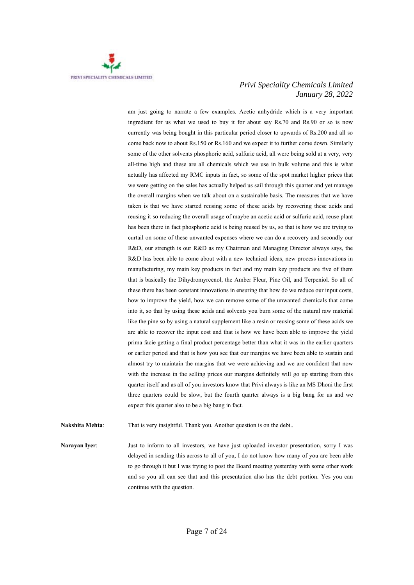

am just going to narrate a few examples. Acetic anhydride which is a very important ingredient for us what we used to buy it for about say Rs.70 and Rs.90 or so is now currently was being bought in this particular period closer to upwards of Rs.200 and all so come back now to about Rs.150 or Rs.160 and we expect it to further come down. Similarly some of the other solvents phosphoric acid, sulfuric acid, all were being sold at a very, very all-time high and these are all chemicals which we use in bulk volume and this is what actually has affected my RMC inputs in fact, so some of the spot market higher prices that we were getting on the sales has actually helped us sail through this quarter and yet manage the overall margins when we talk about on a sustainable basis. The measures that we have taken is that we have started reusing some of these acids by recovering these acids and reusing it so reducing the overall usage of maybe an acetic acid or sulfuric acid, reuse plant has been there in fact phosphoric acid is being reused by us, so that is how we are trying to curtail on some of these unwanted expenses where we can do a recovery and secondly our R&D, our strength is our R&D as my Chairman and Managing Director always says, the R&D has been able to come about with a new technical ideas, new process innovations in manufacturing, my main key products in fact and my main key products are five of them that is basically the Dihydromyrcenol, the Amber Fleur, Pine Oil, and Terpeniol. So all of these there has been constant innovations in ensuring that how do we reduce our input costs, how to improve the yield, how we can remove some of the unwanted chemicals that come into it, so that by using these acids and solvents you burn some of the natural raw material like the pine so by using a natural supplement like a resin or reusing some of these acids we are able to recover the input cost and that is how we have been able to improve the yield prima facie getting a final product percentage better than what it was in the earlier quarters or earlier period and that is how you see that our margins we have been able to sustain and almost try to maintain the margins that we were achieving and we are confident that now with the increase in the selling prices our margins definitely will go up starting from this quarter itself and as all of you investors know that Privi always is like an MS Dhoni the first three quarters could be slow, but the fourth quarter always is a big bang for us and we expect this quarter also to be a big bang in fact.

**Nakshita Mehta:** That is very insightful. Thank you. Another question is on the debt..

**Narayan Iyer:** Just to inform to all investors, we have just uploaded investor presentation, sorry I was delayed in sending this across to all of you, I do not know how many of you are been able to go through it but I was trying to post the Board meeting yesterday with some other work and so you all can see that and this presentation also has the debt portion. Yes you can continue with the question.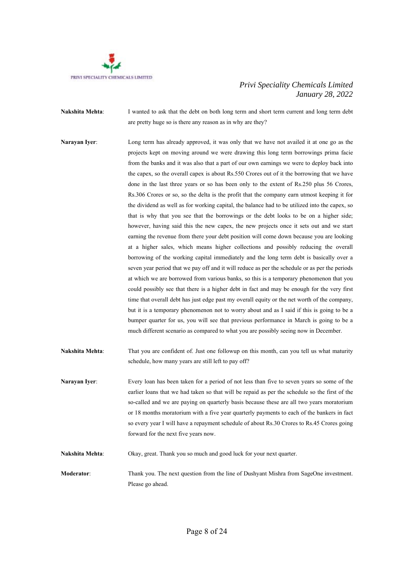

- **Nakshita Mehta**: I wanted to ask that the debt on both long term and short term current and long term debt are pretty huge so is there any reason as in why are they?
- **Narayan Iver:** Long term has already approved, it was only that we have not availed it at one go as the projects kept on moving around we were drawing this long term borrowings prima facie from the banks and it was also that a part of our own earnings we were to deploy back into the capex, so the overall capex is about Rs.550 Crores out of it the borrowing that we have done in the last three years or so has been only to the extent of Rs.250 plus 56 Crores, Rs.306 Crores or so, so the delta is the profit that the company earn utmost keeping it for the dividend as well as for working capital, the balance had to be utilized into the capex, so that is why that you see that the borrowings or the debt looks to be on a higher side; however, having said this the new capex, the new projects once it sets out and we start earning the revenue from there your debt position will come down because you are looking at a higher sales, which means higher collections and possibly reducing the overall borrowing of the working capital immediately and the long term debt is basically over a seven year period that we pay off and it will reduce as per the schedule or as per the periods at which we are borrowed from various banks, so this is a temporary phenomenon that you could possibly see that there is a higher debt in fact and may be enough for the very first time that overall debt has just edge past my overall equity or the net worth of the company, but it is a temporary phenomenon not to worry about and as I said if this is going to be a bumper quarter for us, you will see that previous performance in March is going to be a much different scenario as compared to what you are possibly seeing now in December.
- **Nakshita Mehta**: That you are confident of. Just one followup on this month, can you tell us what maturity schedule, how many years are still left to pay off?
- **Narayan Iyer:** Every loan has been taken for a period of not less than five to seven years so some of the earlier loans that we had taken so that will be repaid as per the schedule so the first of the so-called and we are paying on quarterly basis because these are all two years moratorium or 18 months moratorium with a five year quarterly payments to each of the bankers in fact so every year I will have a repayment schedule of about Rs.30 Crores to Rs.45 Crores going forward for the next five years now.
- **Nakshita Mehta**: Okay, great. Thank you so much and good luck for your next quarter. **Moderator:** Thank you. The next question from the line of Dushyant Mishra from SageOne investment. Please go ahead.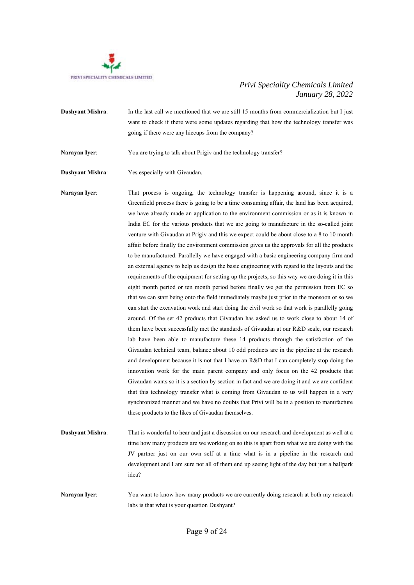

**Dushyant Mishra:** In the last call we mentioned that we are still 15 months from commercialization but I just want to check if there were some updates regarding that how the technology transfer was going if there were any hiccups from the company?

Narayan Iyer: You are trying to talk about Prigiv and the technology transfer?

**Dushyant Mishra**: Yes especially with Givaudan.

Narayan Iyer: That process is ongoing, the technology transfer is happening around, since it is a Greenfield process there is going to be a time consuming affair, the land has been acquired, we have already made an application to the environment commission or as it is known in India EC for the various products that we are going to manufacture in the so-called joint venture with Givaudan at Prigiv and this we expect could be about close to a 8 to 10 month affair before finally the environment commission gives us the approvals for all the products to be manufactured. Parallelly we have engaged with a basic engineering company firm and an external agency to help us design the basic engineering with regard to the layouts and the requirements of the equipment for setting up the projects, so this way we are doing it in this eight month period or ten month period before finally we get the permission from EC so that we can start being onto the field immediately maybe just prior to the monsoon or so we can start the excavation work and start doing the civil work so that work is parallelly going around. Of the set 42 products that Givaudan has asked us to work close to about 14 of them have been successfully met the standards of Givaudan at our R&D scale, our research lab have been able to manufacture these 14 products through the satisfaction of the Givaudan technical team, balance about 10 odd products are in the pipeline at the research and development because it is not that I have an R&D that I can completely stop doing the innovation work for the main parent company and only focus on the 42 products that Givaudan wants so it is a section by section in fact and we are doing it and we are confident that this technology transfer what is coming from Givaudan to us will happen in a very synchronized manner and we have no doubts that Privi will be in a position to manufacture these products to the likes of Givaudan themselves.

**Dushyant Mishra:** That is wonderful to hear and just a discussion on our research and development as well at a time how many products are we working on so this is apart from what we are doing with the JV partner just on our own self at a time what is in a pipeline in the research and development and I am sure not all of them end up seeing light of the day but just a ballpark idea?

**Narayan Iyer**: You want to know how many products we are currently doing research at both my research labs is that what is your question Dushyant?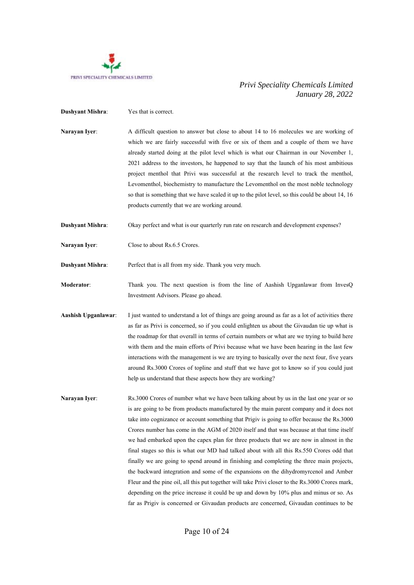

- **Dushyant Mishra:** Yes that is correct.
- **Narayan Iyer**: A difficult question to answer but close to about 14 to 16 molecules we are working of which we are fairly successful with five or six of them and a couple of them we have already started doing at the pilot level which is what our Chairman in our November 1, 2021 address to the investors, he happened to say that the launch of his most ambitious project menthol that Privi was successful at the research level to track the menthol, Levomenthol, biochemistry to manufacture the Levomenthol on the most noble technology so that is something that we have scaled it up to the pilot level, so this could be about 14, 16 products currently that we are working around.
- **Dushyant Mishra**: Okay perfect and what is our quarterly run rate on research and development expenses?
- **Narayan Iyer**: Close to about Rs.6.5 Crores.

**Dushyant Mishra**: Perfect that is all from my side. Thank you very much.

- **Moderator**: Thank you. The next question is from the line of Aashish Upganlawar from InvesQ Investment Advisors. Please go ahead.
- **Aashish Upganlawar**: I just wanted to understand a lot of things are going around as far as a lot of activities there as far as Privi is concerned, so if you could enlighten us about the Givaudan tie up what is the roadmap for that overall in terms of certain numbers or what are we trying to build here with them and the main efforts of Privi because what we have been hearing in the last few interactions with the management is we are trying to basically over the next four, five years around Rs.3000 Crores of topline and stuff that we have got to know so if you could just help us understand that these aspects how they are working?
- **Narayan Iver:** Rs.3000 Crores of number what we have been talking about by us in the last one year or so is are going to be from products manufactured by the main parent company and it does not take into cognizance or account something that Prigiv is going to offer because the Rs.3000 Crores number has come in the AGM of 2020 itself and that was because at that time itself we had embarked upon the capex plan for three products that we are now in almost in the final stages so this is what our MD had talked about with all this Rs.550 Crores odd that finally we are going to spend around in finishing and completing the three main projects, the backward integration and some of the expansions on the dihydromyrcenol and Amber Fleur and the pine oil, all this put together will take Privi closer to the Rs.3000 Crores mark, depending on the price increase it could be up and down by 10% plus and minus or so. As far as Prigiv is concerned or Givaudan products are concerned, Givaudan continues to be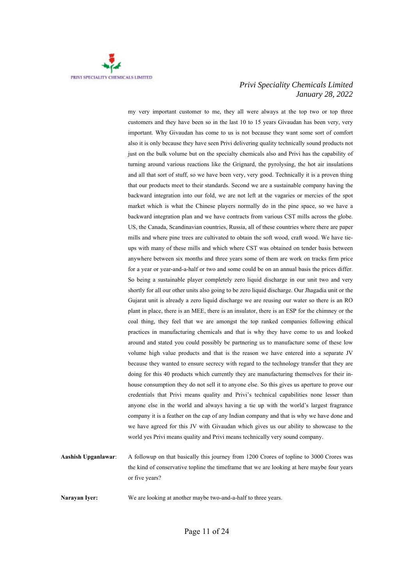

my very important customer to me, they all were always at the top two or top three customers and they have been so in the last 10 to 15 years Givaudan has been very, very important. Why Givaudan has come to us is not because they want some sort of comfort also it is only because they have seen Privi delivering quality technically sound products not just on the bulk volume but on the specialty chemicals also and Privi has the capability of turning around various reactions like the Grignard, the pyrolysing, the hot air insulations and all that sort of stuff, so we have been very, very good. Technically it is a proven thing that our products meet to their standards. Second we are a sustainable company having the backward integration into our fold, we are not left at the vagaries or mercies of the spot market which is what the Chinese players normally do in the pine space, so we have a backward integration plan and we have contracts from various CST mills across the globe. US, the Canada, Scandinavian countries, Russia, all of these countries where there are paper mills and where pine trees are cultivated to obtain the soft wood, craft wood. We have tieups with many of these mills and which where CST was obtained on tender basis between anywhere between six months and three years some of them are work on tracks firm price for a year or year-and-a-half or two and some could be on an annual basis the prices differ. So being a sustainable player completely zero liquid discharge in our unit two and very shortly for all our other units also going to be zero liquid discharge. Our Jhagadia unit or the Gujarat unit is already a zero liquid discharge we are reusing our water so there is an RO plant in place, there is an MEE, there is an insulator, there is an ESP for the chimney or the coal thing, they feel that we are amongst the top ranked companies following ethical practices in manufacturing chemicals and that is why they have come to us and looked around and stated you could possibly be partnering us to manufacture some of these low volume high value products and that is the reason we have entered into a separate JV because they wanted to ensure secrecy with regard to the technology transfer that they are doing for this 40 products which currently they are manufacturing themselves for their inhouse consumption they do not sell it to anyone else. So this gives us aperture to prove our credentials that Privi means quality and Privi's technical capabilities none lesser than anyone else in the world and always having a tie up with the world's largest fragrance company it is a feather on the cap of any Indian company and that is why we have done and we have agreed for this JV with Givaudan which gives us our ability to showcase to the world yes Privi means quality and Privi means technically very sound company.

**Aashish Upganlawar**: A followup on that basically this journey from 1200 Crores of topline to 3000 Crores was the kind of conservative topline the timeframe that we are looking at here maybe four years or five years?

**Narayan Iyer:** We are looking at another maybe two-and-a-half to three years.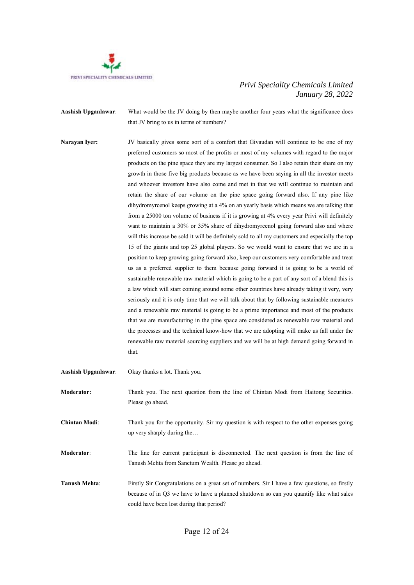

**Aashish Upganlawar**: What would be the JV doing by then maybe another four years what the significance does that JV bring to us in terms of numbers?

**Narayan Iver:** JV basically gives some sort of a comfort that Givaudan will continue to be one of my preferred customers so most of the profits or most of my volumes with regard to the major products on the pine space they are my largest consumer. So I also retain their share on my growth in those five big products because as we have been saying in all the investor meets and whoever investors have also come and met in that we will continue to maintain and retain the share of our volume on the pine space going forward also. If any pine like dihydromyrcenol keeps growing at a 4% on an yearly basis which means we are talking that from a 25000 ton volume of business if it is growing at 4% every year Privi will definitely want to maintain a 30% or 35% share of dihydromyrcenol going forward also and where will this increase be sold it will be definitely sold to all my customers and especially the top 15 of the giants and top 25 global players. So we would want to ensure that we are in a position to keep growing going forward also, keep our customers very comfortable and treat us as a preferred supplier to them because going forward it is going to be a world of sustainable renewable raw material which is going to be a part of any sort of a blend this is a law which will start coming around some other countries have already taking it very, very seriously and it is only time that we will talk about that by following sustainable measures and a renewable raw material is going to be a prime importance and most of the products that we are manufacturing in the pine space are considered as renewable raw material and the processes and the technical know-how that we are adopting will make us fall under the renewable raw material sourcing suppliers and we will be at high demand going forward in that.

| <b>Aashish Upganlawar:</b> | Okay thanks a lot. Thank you.                                                                                                                                                                                                        |
|----------------------------|--------------------------------------------------------------------------------------------------------------------------------------------------------------------------------------------------------------------------------------|
| <b>Moderator:</b>          | Thank you. The next question from the line of Chintan Modi from Haitong Securities.<br>Please go ahead.                                                                                                                              |
| <b>Chintan Modi:</b>       | Thank you for the opportunity. Sir my question is with respect to the other expenses going<br>up very sharply during the                                                                                                             |
| <b>Moderator:</b>          | The line for current participant is disconnected. The next question is from the line of<br>Tanush Mehta from Sanctum Wealth. Please go ahead.                                                                                        |
| <b>Tanush Mehta:</b>       | Firstly Sir Congratulations on a great set of numbers. Sir I have a few questions, so firstly<br>because of in Q3 we have to have a planned shutdown so can you quantify like what sales<br>could have been lost during that period? |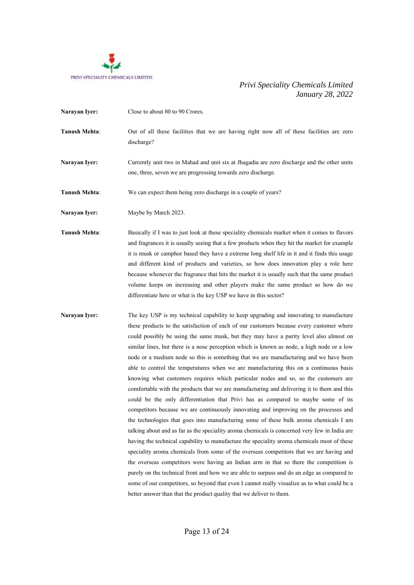

**Narayan Iver:** Close to about 80 to 90 Crores. **Tanush Mehta**: Out of all these facilities that we are having right now all of these facilities are zero discharge? **Narayan Iyer:** Currently unit two in Mahad and unit six at Jhagadia are zero discharge and the other units one, three, seven we are progressing towards zero discharge.

**Tanush Mehta**: We can expect them being zero discharge in a couple of years?

**Narayan Iyer:** Maybe by March 2023.

**Tanush Mehta**: Basically if I was to just look at these speciality chemicals market when it comes to flavors and fragrances it is usually seeing that a few products when they hit the market for example it is musk or camphor based they have a extreme long shelf life in it and it finds this usage and different kind of products and varieties, so how does innovation play a role here because whenever the fragrance that hits the market it is usually such that the same product volume keeps on increasing and other players make the same product so how do we differentiate here or what is the key USP we have in this sector?

**Narayan Iyer:** The key USP is my technical capability to keep upgrading and innovating to manufacture these products to the satisfaction of each of our customers because every customer where could possibly be using the same musk, but they may have a purity level also almost on similar lines, but there is a nose perception which is known as node, a high node or a low node or a medium node so this is something that we are manufacturing and we have been able to control the temperatures when we are manufacturing this on a continuous basis knowing what customers requires which particular nodes and so, so the customers are comfortable with the products that we are manufacturing and delivering it to them and this could be the only differentiation that Privi has as compared to maybe some of its competitors because we are continuously innovating and improving on the processes and the technologies that goes into manufacturing some of these bulk aroma chemicals I am talking about and as far as the speciality aroma chemicals is concerned very few in India are having the technical capability to manufacture the speciality aroma chemicals most of these speciality aroma chemicals from some of the overseas competitors that we are having and the overseas competitors were having an Indian arm in that so there the competition is purely on the technical front and how we are able to surpass and do an edge as compared to some of our competitors, so beyond that even I cannot really visualize as to what could be a better answer than that the product quality that we deliver to them.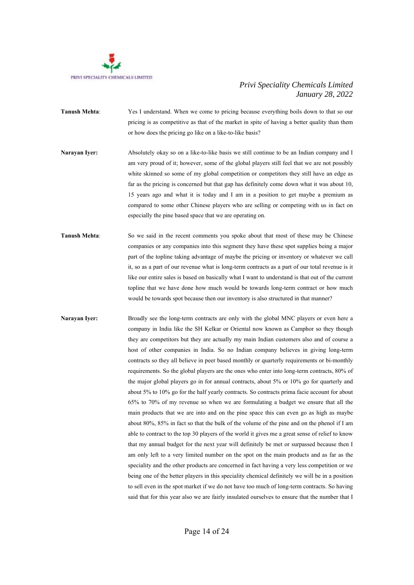

- **Tanush Mehta**: Yes I understand. When we come to pricing because everything boils down to that so our pricing is as competitive as that of the market in spite of having a better quality than them or how does the pricing go like on a like-to-like basis?
- **Narayan Iyer:** Absolutely okay so on a like-to-like basis we still continue to be an Indian company and I am very proud of it; however, some of the global players still feel that we are not possibly white skinned so some of my global competition or competitors they still have an edge as far as the pricing is concerned but that gap has definitely come down what it was about 10, 15 years ago and what it is today and I am in a position to get maybe a premium as compared to some other Chinese players who are selling or competing with us in fact on especially the pine based space that we are operating on.
- **Tanush Mehta**: So we said in the recent comments you spoke about that most of these may be Chinese companies or any companies into this segment they have these spot supplies being a major part of the topline taking advantage of maybe the pricing or inventory or whatever we call it, so as a part of our revenue what is long-term contracts as a part of our total revenue is it like our entire sales is based on basically what I want to understand is that out of the current topline that we have done how much would be towards long-term contract or how much would be towards spot because then our inventory is also structured in that manner?
- **Narayan Iyer:** Broadly see the long-term contracts are only with the global MNC players or even here a company in India like the SH Kelkar or Oriental now known as Camphor so they though they are competitors but they are actually my main Indian customers also and of course a host of other companies in India. So no Indian company believes in giving long-term contracts so they all believe in peer based monthly or quarterly requirements or bi-monthly requirements. So the global players are the ones who enter into long-term contracts, 80% of the major global players go in for annual contracts, about 5% or 10% go for quarterly and about 5% to 10% go for the half yearly contracts. So contracts prima facie account for about 65% to 70% of my revenue so when we are formulating a budget we ensure that all the main products that we are into and on the pine space this can even go as high as maybe about 80%, 85% in fact so that the bulk of the volume of the pine and on the phenol if I am able to contract to the top 30 players of the world it gives me a great sense of relief to know that my annual budget for the next year will definitely be met or surpassed because then I am only left to a very limited number on the spot on the main products and as far as the speciality and the other products are concerned in fact having a very less competition or we being one of the better players in this speciality chemical definitely we will be in a position to sell even in the spot market if we do not have too much of long-term contracts. So having said that for this year also we are fairly insulated ourselves to ensure that the number that I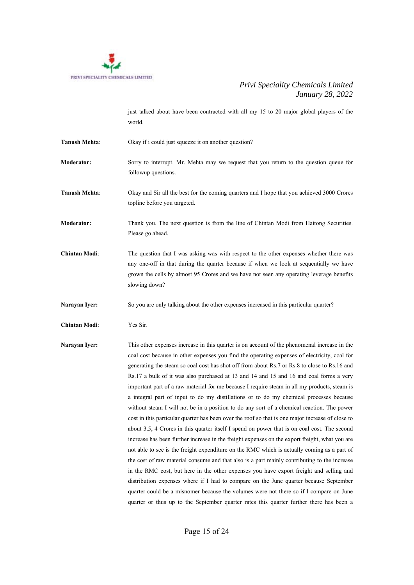

just talked about have been contracted with all my 15 to 20 major global players of the world.

**Tanush Mehta:** Okay if i could just squeeze it on another question?

**Moderator:** Sorry to interrupt. Mr. Mehta may we request that you return to the question queue for followup questions.

**Tanush Mehta**: Okay and Sir all the best for the coming quarters and I hope that you achieved 3000 Crores topline before you targeted.

**Moderator:** Thank you. The next question is from the line of Chintan Modi from Haitong Securities. Please go ahead.

**Chintan Modi:** The question that I was asking was with respect to the other expenses whether there was any one-off in that during the quarter because if when we look at sequentially we have grown the cells by almost 95 Crores and we have not seen any operating leverage benefits slowing down?

**Narayan Iyer:** So you are only talking about the other expenses increased in this particular quarter?

**Chintan Modi**: Yes Sir.

**Narayan Iyer:** This other expenses increase in this quarter is on account of the phenomenal increase in the coal cost because in other expenses you find the operating expenses of electricity, coal for generating the steam so coal cost has shot off from about Rs.7 or Rs.8 to close to Rs.16 and Rs.17 a bulk of it was also purchased at 13 and 14 and 15 and 16 and coal forms a very important part of a raw material for me because I require steam in all my products, steam is a integral part of input to do my distillations or to do my chemical processes because without steam I will not be in a position to do any sort of a chemical reaction. The power cost in this particular quarter has been over the roof so that is one major increase of close to about 3.5, 4 Crores in this quarter itself I spend on power that is on coal cost. The second increase has been further increase in the freight expenses on the export freight, what you are not able to see is the freight expenditure on the RMC which is actually coming as a part of the cost of raw material consume and that also is a part mainly contributing to the increase in the RMC cost, but here in the other expenses you have export freight and selling and distribution expenses where if I had to compare on the June quarter because September quarter could be a misnomer because the volumes were not there so if I compare on June quarter or thus up to the September quarter rates this quarter further there has been a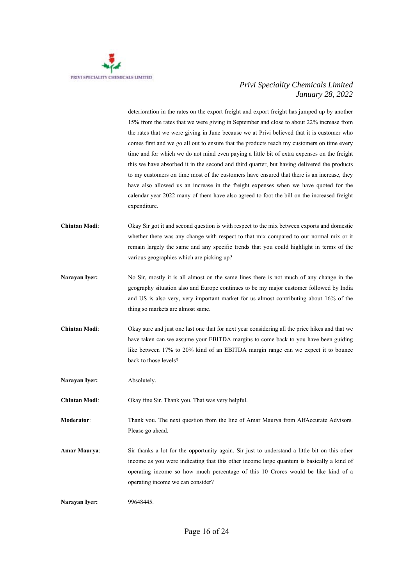

deterioration in the rates on the export freight and export freight has jumped up by another 15% from the rates that we were giving in September and close to about 22% increase from the rates that we were giving in June because we at Privi believed that it is customer who comes first and we go all out to ensure that the products reach my customers on time every time and for which we do not mind even paying a little bit of extra expenses on the freight this we have absorbed it in the second and third quarter, but having delivered the products to my customers on time most of the customers have ensured that there is an increase, they have also allowed us an increase in the freight expenses when we have quoted for the calendar year 2022 many of them have also agreed to foot the bill on the increased freight expenditure.

- **Chintan Modi**: Okay Sir got it and second question is with respect to the mix between exports and domestic whether there was any change with respect to that mix compared to our normal mix or it remain largely the same and any specific trends that you could highlight in terms of the various geographies which are picking up?
- **Narayan Iyer:** No Sir, mostly it is all almost on the same lines there is not much of any change in the geography situation also and Europe continues to be my major customer followed by India and US is also very, very important market for us almost contributing about 16% of the thing so markets are almost same.
- **Chintan Modi**: Okay sure and just one last one that for next year considering all the price hikes and that we have taken can we assume your EBITDA margins to come back to you have been guiding like between 17% to 20% kind of an EBITDA margin range can we expect it to bounce back to those levels?

**Narayan Iver:** Absolutely.

**Chintan Modi**: Okay fine Sir. Thank you. That was very helpful.

**Moderator:** Thank you. The next question from the line of Amar Maurya from AlfAccurate Advisors. Please go ahead.

**Amar Maurya**: Sir thanks a lot for the opportunity again. Sir just to understand a little bit on this other income as you were indicating that this other income large quantum is basically a kind of operating income so how much percentage of this 10 Crores would be like kind of a operating income we can consider?

**Narayan Iyer:** 99648445.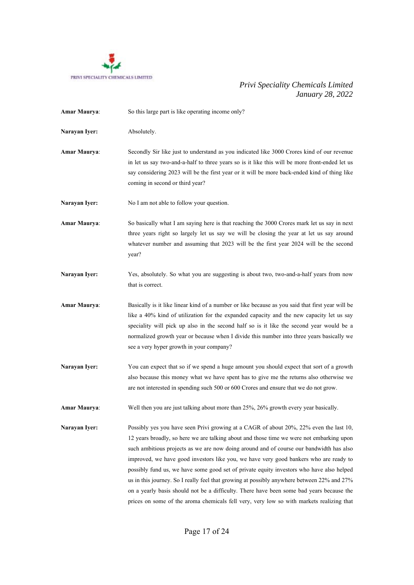

| <b>Amar Maurya:</b> | So this large part is like operating income only?                                                                                                                                                                                                                                                                                                                                                                                                                                                                                                                                                                                                                                                                                                        |
|---------------------|----------------------------------------------------------------------------------------------------------------------------------------------------------------------------------------------------------------------------------------------------------------------------------------------------------------------------------------------------------------------------------------------------------------------------------------------------------------------------------------------------------------------------------------------------------------------------------------------------------------------------------------------------------------------------------------------------------------------------------------------------------|
| Narayan Iyer:       | Absolutely.                                                                                                                                                                                                                                                                                                                                                                                                                                                                                                                                                                                                                                                                                                                                              |
| <b>Amar Maurya:</b> | Secondly Sir like just to understand as you indicated like 3000 Crores kind of our revenue<br>in let us say two-and-a-half to three years so is it like this will be more front-ended let us<br>say considering 2023 will be the first year or it will be more back-ended kind of thing like<br>coming in second or third year?                                                                                                                                                                                                                                                                                                                                                                                                                          |
| Narayan Iyer:       | No I am not able to follow your question.                                                                                                                                                                                                                                                                                                                                                                                                                                                                                                                                                                                                                                                                                                                |
| <b>Amar Maurya:</b> | So basically what I am saying here is that reaching the 3000 Crores mark let us say in next<br>three years right so largely let us say we will be closing the year at let us say around<br>whatever number and assuming that 2023 will be the first year 2024 will be the second<br>year?                                                                                                                                                                                                                                                                                                                                                                                                                                                                |
| Narayan Iyer:       | Yes, absolutely. So what you are suggesting is about two, two-and-a-half years from now<br>that is correct.                                                                                                                                                                                                                                                                                                                                                                                                                                                                                                                                                                                                                                              |
| <b>Amar Maurya:</b> | Basically is it like linear kind of a number or like because as you said that first year will be<br>like a 40% kind of utilization for the expanded capacity and the new capacity let us say<br>speciality will pick up also in the second half so is it like the second year would be a<br>normalized growth year or because when I divide this number into three years basically we<br>see a very hyper growth in your company?                                                                                                                                                                                                                                                                                                                        |
| Narayan Iyer:       | You can expect that so if we spend a huge amount you should expect that sort of a growth<br>also because this money what we have spent has to give me the returns also otherwise we<br>are not interested in spending such 500 or 600 Crores and ensure that we do not grow.                                                                                                                                                                                                                                                                                                                                                                                                                                                                             |
| <b>Amar Maurya:</b> | Well then you are just talking about more than 25%, 26% growth every year basically.                                                                                                                                                                                                                                                                                                                                                                                                                                                                                                                                                                                                                                                                     |
| Narayan Iyer:       | Possibly yes you have seen Privi growing at a CAGR of about 20%, 22% even the last 10,<br>12 years broadly, so here we are talking about and those time we were not embarking upon<br>such ambitious projects as we are now doing around and of course our bandwidth has also<br>improved, we have good investors like you, we have very good bankers who are ready to<br>possibly fund us, we have some good set of private equity investors who have also helped<br>us in this journey. So I really feel that growing at possibly anywhere between 22% and 27%<br>on a yearly basis should not be a difficulty. There have been some bad years because the<br>prices on some of the aroma chemicals fell very, very low so with markets realizing that |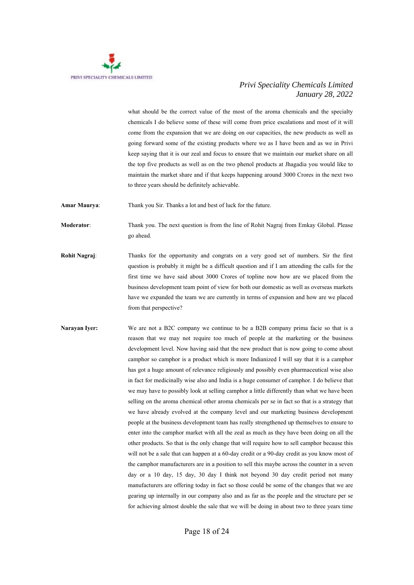

what should be the correct value of the most of the aroma chemicals and the specialty chemicals I do believe some of these will come from price escalations and most of it will come from the expansion that we are doing on our capacities, the new products as well as going forward some of the existing products where we as I have been and as we in Privi keep saying that it is our zeal and focus to ensure that we maintain our market share on all the top five products as well as on the two phenol products at Jhagadia you would like to maintain the market share and if that keeps happening around 3000 Crores in the next two to three years should be definitely achievable.

**Amar Maurya**: Thank you Sir. Thanks a lot and best of luck for the future.

**Moderator**: Thank you. The next question is from the line of Rohit Nagraj from Emkay Global. Please go ahead.

- **Rohit Nagraj**: Thanks for the opportunity and congrats on a very good set of numbers. Sir the first question is probably it might be a difficult question and if I am attending the calls for the first time we have said about 3000 Crores of topline now how are we placed from the business development team point of view for both our domestic as well as overseas markets have we expanded the team we are currently in terms of expansion and how are we placed from that perspective?
- **Narayan Iver:** We are not a B2C company we continue to be a B2B company prima facie so that is a reason that we may not require too much of people at the marketing or the business development level. Now having said that the new product that is now going to come about camphor so camphor is a product which is more Indianized I will say that it is a camphor has got a huge amount of relevance religiously and possibly even pharmaceutical wise also in fact for medicinally wise also and India is a huge consumer of camphor. I do believe that we may have to possibly look at selling camphor a little differently than what we have been selling on the aroma chemical other aroma chemicals per se in fact so that is a strategy that we have already evolved at the company level and our marketing business development people at the business development team has really strengthened up themselves to ensure to enter into the camphor market with all the zeal as much as they have been doing on all the other products. So that is the only change that will require how to sell camphor because this will not be a sale that can happen at a 60-day credit or a 90-day credit as you know most of the camphor manufacturers are in a position to sell this maybe across the counter in a seven day or a 10 day, 15 day, 30 day I think not beyond 30 day credit period not many manufacturers are offering today in fact so those could be some of the changes that we are gearing up internally in our company also and as far as the people and the structure per se for achieving almost double the sale that we will be doing in about two to three years time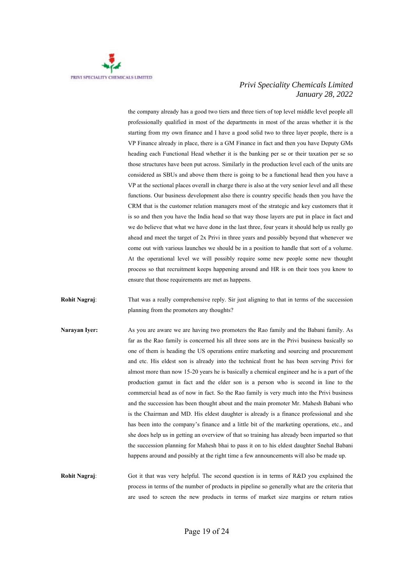

the company already has a good two tiers and three tiers of top level middle level people all professionally qualified in most of the departments in most of the areas whether it is the starting from my own finance and I have a good solid two to three layer people, there is a VP Finance already in place, there is a GM Finance in fact and then you have Deputy GMs heading each Functional Head whether it is the banking per se or their taxation per se so those structures have been put across. Similarly in the production level each of the units are considered as SBUs and above them there is going to be a functional head then you have a VP at the sectional places overall in charge there is also at the very senior level and all these functions. Our business development also there is country specific heads then you have the CRM that is the customer relation managers most of the strategic and key customers that it is so and then you have the India head so that way those layers are put in place in fact and we do believe that what we have done in the last three, four years it should help us really go ahead and meet the target of 2x Privi in three years and possibly beyond that whenever we come out with various launches we should be in a position to handle that sort of a volume. At the operational level we will possibly require some new people some new thought process so that recruitment keeps happening around and HR is on their toes you know to ensure that those requirements are met as happens.

**Rohit Nagraj:** That was a really comprehensive reply. Sir just aligning to that in terms of the succession planning from the promoters any thoughts?

**Narayan Iver:** As you are aware we are having two promoters the Rao family and the Babani family. As far as the Rao family is concerned his all three sons are in the Privi business basically so one of them is heading the US operations entire marketing and sourcing and procurement and etc. His eldest son is already into the technical front he has been serving Privi for almost more than now 15-20 years he is basically a chemical engineer and he is a part of the production gamut in fact and the elder son is a person who is second in line to the commercial head as of now in fact. So the Rao family is very much into the Privi business and the succession has been thought about and the main promoter Mr. Mahesh Babani who is the Chairman and MD. His eldest daughter is already is a finance professional and she has been into the company's finance and a little bit of the marketing operations, etc., and she does help us in getting an overview of that so training has already been imparted so that the succession planning for Mahesh bhai to pass it on to his eldest daughter Snehal Babani happens around and possibly at the right time a few announcements will also be made up.

**Rohit Nagraj**: Got it that was very helpful. The second question is in terms of R&D you explained the process in terms of the number of products in pipeline so generally what are the criteria that are used to screen the new products in terms of market size margins or return ratios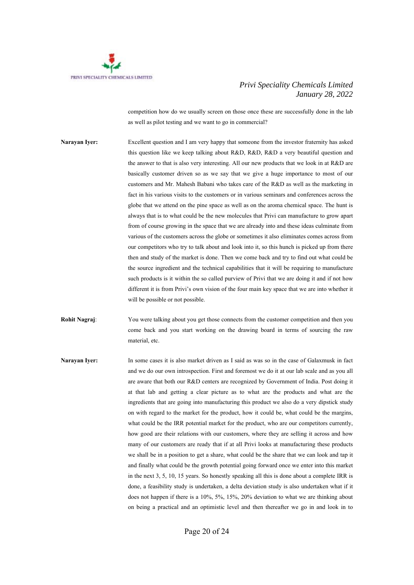

competition how do we usually screen on those once these are successfully done in the lab as well as pilot testing and we want to go in commercial?

- **Narayan Iyer:** Excellent question and I am very happy that someone from the investor fraternity has asked this question like we keep talking about R&D, R&D, R&D a very beautiful question and the answer to that is also very interesting. All our new products that we look in at R&D are basically customer driven so as we say that we give a huge importance to most of our customers and Mr. Mahesh Babani who takes care of the R&D as well as the marketing in fact in his various visits to the customers or in various seminars and conferences across the globe that we attend on the pine space as well as on the aroma chemical space. The hunt is always that is to what could be the new molecules that Privi can manufacture to grow apart from of course growing in the space that we are already into and these ideas culminate from various of the customers across the globe or sometimes it also eliminates comes across from our competitors who try to talk about and look into it, so this hunch is picked up from there then and study of the market is done. Then we come back and try to find out what could be the source ingredient and the technical capabilities that it will be requiring to manufacture such products is it within the so called purview of Privi that we are doing it and if not how different it is from Privi's own vision of the four main key space that we are into whether it will be possible or not possible.
- **Rohit Nagraj:** You were talking about you get those connects from the customer competition and then you come back and you start working on the drawing board in terms of sourcing the raw material, etc.
- **Narayan Iyer:** In some cases it is also market driven as I said as was so in the case of Galaxmusk in fact and we do our own introspection. First and foremost we do it at our lab scale and as you all are aware that both our R&D centers are recognized by Government of India. Post doing it at that lab and getting a clear picture as to what are the products and what are the ingredients that are going into manufacturing this product we also do a very dipstick study on with regard to the market for the product, how it could be, what could be the margins, what could be the IRR potential market for the product, who are our competitors currently, how good are their relations with our customers, where they are selling it across and how many of our customers are ready that if at all Privi looks at manufacturing these products we shall be in a position to get a share, what could be the share that we can look and tap it and finally what could be the growth potential going forward once we enter into this market in the next 3, 5, 10, 15 years. So honestly speaking all this is done about a complete IRR is done, a feasibility study is undertaken, a delta deviation study is also undertaken what if it does not happen if there is a 10%, 5%, 15%, 20% deviation to what we are thinking about on being a practical and an optimistic level and then thereafter we go in and look in to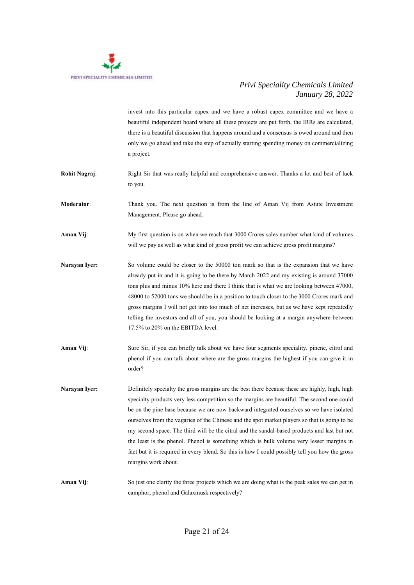

invest into this particular capex and we have a robust capex committee and we have a beautiful independent board where all these projects are put forth, the IRRs are calculated, there is a beautiful discussion that happens around and a consensus is owed around and then only we go ahead and take the step of actually starting spending money on commercializing a project.

**Rohit Nagraj:** Right Sir that was really helpful and comprehensive answer. Thanks a lot and best of luck to you.

**Moderator**: Thank you. The next question is from the line of Aman Vij from Astute Investment Management. Please go ahead.

- **Aman Vij**: My first question is on when we reach that 3000 Crores sales number what kind of volumes will we pay as well as what kind of gross profit we can achieve gross profit margins?
- **Narayan Iver:** So volume could be closer to the 50000 ton mark so that is the expansion that we have already put in and it is going to be there by March 2022 and my existing is around 37000 tons plus and minus 10% here and there I think that is what we are looking between 47000, 48000 to 52000 tons we should be in a position to touch closer to the 3000 Crores mark and gross margins I will not get into too much of net increases, but as we have kept repeatedly telling the investors and all of you, you should be looking at a margin anywhere between 17.5% to 20% on the EBITDA level.
- **Aman Vij**: Sure Sir, if you can briefly talk about we have four segments speciality, pinene, citrol and phenol if you can talk about where are the gross margins the highest if you can give it in order?
- **Narayan Iver:** Definitely specialty the gross margins are the best there because these are highly, high, high specialty products very less competition so the margins are beautiful. The second one could be on the pine base because we are now backward integrated ourselves so we have isolated ourselves from the vagaries of the Chinese and the spot market players so that is going to be my second space. The third will be the citral and the sandal-based products and last but not the least is the phenol. Phenol is something which is bulk volume very lesser margins in fact but it is required in every blend. So this is how I could possibly tell you how the gross margins work about.
- **Aman Vij:** So just one clarity the three projects which we are doing what is the peak sales we can get in camphor, phenol and Galaxmusk respectively?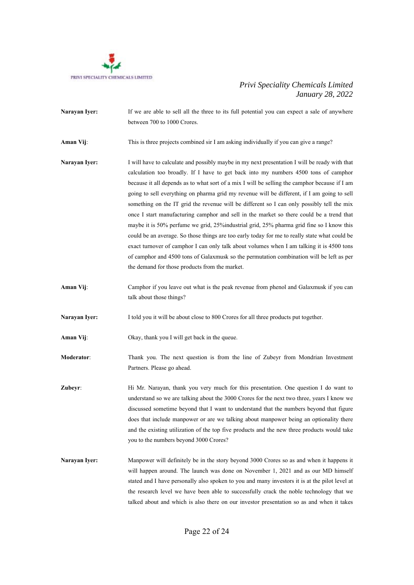

**Narayan Iver:** If we are able to sell all the three to its full potential you can expect a sale of anywhere between 700 to 1000 Crores. **Aman Vij:** This is three projects combined sir I am asking individually if you can give a range? **Narayan Iyer:** I will have to calculate and possibly maybe in my next presentation I will be ready with that calculation too broadly. If I have to get back into my numbers 4500 tons of camphor because it all depends as to what sort of a mix I will be selling the camphor because if I am going to sell everything on pharma grid my revenue will be different, if I am going to sell something on the IT grid the revenue will be different so I can only possibly tell the mix once I start manufacturing camphor and sell in the market so there could be a trend that maybe it is 50% perfume we grid, 25%industrial grid, 25% pharma grid fine so I know this could be an average. So those things are too early today for me to really state what could be exact turnover of camphor I can only talk about volumes when I am talking it is 4500 tons of camphor and 4500 tons of Galaxmusk so the permutation combination will be left as per the demand for those products from the market. **Aman Vij:** Camphor if you leave out what is the peak revenue from phenol and Galaxmusk if you can talk about those things? **Narayan Iyer:** I told you it will be about close to 800 Crores for all three products put together. **Aman Vij**: Okay, thank you I will get back in the queue. **Moderator**: Thank you. The next question is from the line of Zubeyr from Mondrian Investment Partners. Please go ahead. **Zubeyr:** Hi Mr. Narayan, thank you very much for this presentation. One question I do want to understand so we are talking about the 3000 Crores for the next two three, years I know we discussed sometime beyond that I want to understand that the numbers beyond that figure does that include manpower or are we talking about manpower being an optionality there and the existing utilization of the top five products and the new three products would take you to the numbers beyond 3000 Crores? **Narayan Iyer:** Manpower will definitely be in the story beyond 3000 Crores so as and when it happens it will happen around. The launch was done on November 1, 2021 and as our MD himself stated and I have personally also spoken to you and many investors it is at the pilot level at the research level we have been able to successfully crack the noble technology that we

talked about and which is also there on our investor presentation so as and when it takes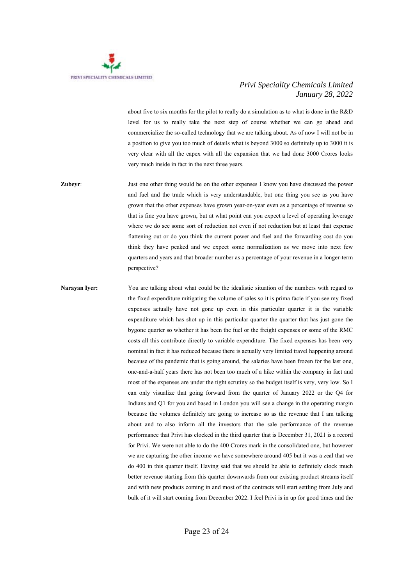

about five to six months for the pilot to really do a simulation as to what is done in the R&D level for us to really take the next step of course whether we can go ahead and commercialize the so-called technology that we are talking about. As of now I will not be in a position to give you too much of details what is beyond 3000 so definitely up to 3000 it is very clear with all the capex with all the expansion that we had done 3000 Crores looks very much inside in fact in the next three years.

**Zubeyr:** Just one other thing would be on the other expenses I know you have discussed the power and fuel and the trade which is very understandable, but one thing you see as you have grown that the other expenses have grown year-on-year even as a percentage of revenue so that is fine you have grown, but at what point can you expect a level of operating leverage where we do see some sort of reduction not even if not reduction but at least that expense flattening out or do you think the current power and fuel and the forwarding cost do you think they have peaked and we expect some normalization as we move into next few quarters and years and that broader number as a percentage of your revenue in a longer-term perspective?

**Narayan Iyer:** You are talking about what could be the idealistic situation of the numbers with regard to the fixed expenditure mitigating the volume of sales so it is prima facie if you see my fixed expenses actually have not gone up even in this particular quarter it is the variable expenditure which has shot up in this particular quarter the quarter that has just gone the bygone quarter so whether it has been the fuel or the freight expenses or some of the RMC costs all this contribute directly to variable expenditure. The fixed expenses has been very nominal in fact it has reduced because there is actually very limited travel happening around because of the pandemic that is going around, the salaries have been frozen for the last one, one-and-a-half years there has not been too much of a hike within the company in fact and most of the expenses are under the tight scrutiny so the budget itself is very, very low. So I can only visualize that going forward from the quarter of January 2022 or the Q4 for Indians and Q1 for you and based in London you will see a change in the operating margin because the volumes definitely are going to increase so as the revenue that I am talking about and to also inform all the investors that the sale performance of the revenue performance that Privi has clocked in the third quarter that is December 31, 2021 is a record for Privi. We were not able to do the 400 Crores mark in the consolidated one, but however we are capturing the other income we have somewhere around 405 but it was a zeal that we do 400 in this quarter itself. Having said that we should be able to definitely clock much better revenue starting from this quarter downwards from our existing product streams itself and with new products coming in and most of the contracts will start settling from July and bulk of it will start coming from December 2022. I feel Privi is in up for good times and the